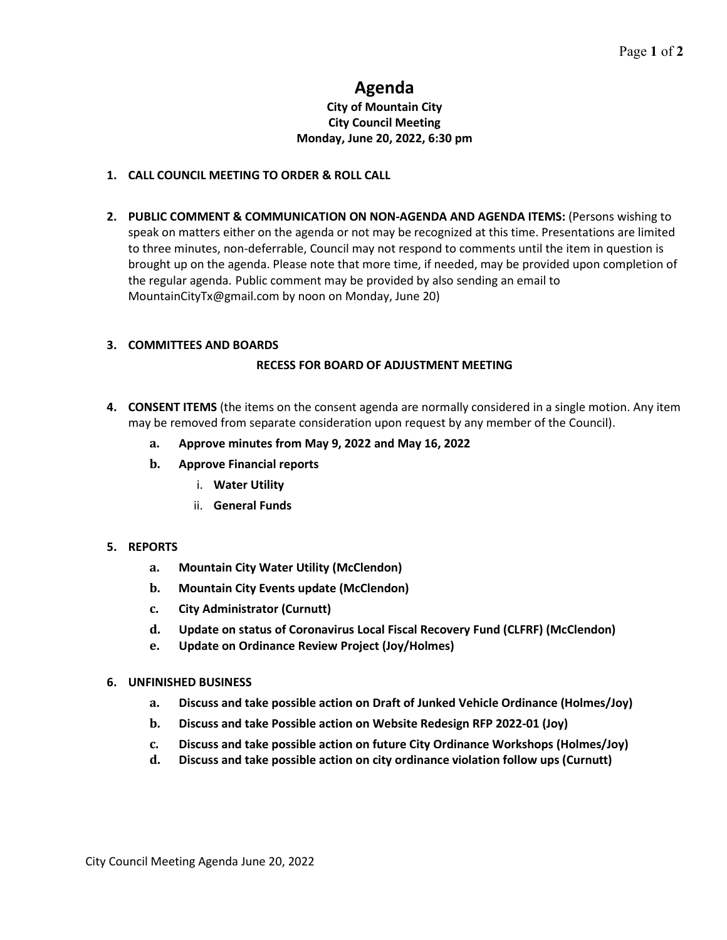# **Agenda**

### **City of Mountain City City Council Meeting Monday, June 20, 2022, 6:30 pm**

# **1. CALL COUNCIL MEETING TO ORDER & ROLL CALL**

**2. PUBLIC COMMENT & COMMUNICATION ON NON-AGENDA AND AGENDA ITEMS:** (Persons wishing to speak on matters either on the agenda or not may be recognized at this time. Presentations are limited to three minutes, non-deferrable, Council may not respond to comments until the item in question is brought up on the agenda. Please note that more time, if needed, may be provided upon completion of the regular agenda. Public comment may be provided by also sending an email to MountainCityTx@gmail.com by noon on Monday, June 20)

## **3. COMMITTEES AND BOARDS**

## **RECESS FOR BOARD OF ADJUSTMENT MEETING**

- **4. CONSENT ITEMS** (the items on the consent agenda are normally considered in a single motion. Any item may be removed from separate consideration upon request by any member of the Council).
	- **a. Approve minutes from May 9, 2022 and May 16, 2022**
	- **b. Approve Financial reports**
		- i. **Water Utility**
		- ii. **General Funds**

#### **5. REPORTS**

- **a. Mountain City Water Utility (McClendon)**
- **b. Mountain City Events update (McClendon)**
- **c. City Administrator (Curnutt)**
- **d. Update on status of Coronavirus Local Fiscal Recovery Fund (CLFRF) (McClendon)**
- **e. Update on Ordinance Review Project (Joy/Holmes)**

#### **6. UNFINISHED BUSINESS**

- **a. Discuss and take possible action on Draft of Junked Vehicle Ordinance (Holmes/Joy)**
- **b. Discuss and take Possible action on Website Redesign RFP 2022-01 (Joy)**
- **c. Discuss and take possible action on future City Ordinance Workshops (Holmes/Joy)**
- **d. Discuss and take possible action on city ordinance violation follow ups (Curnutt)**